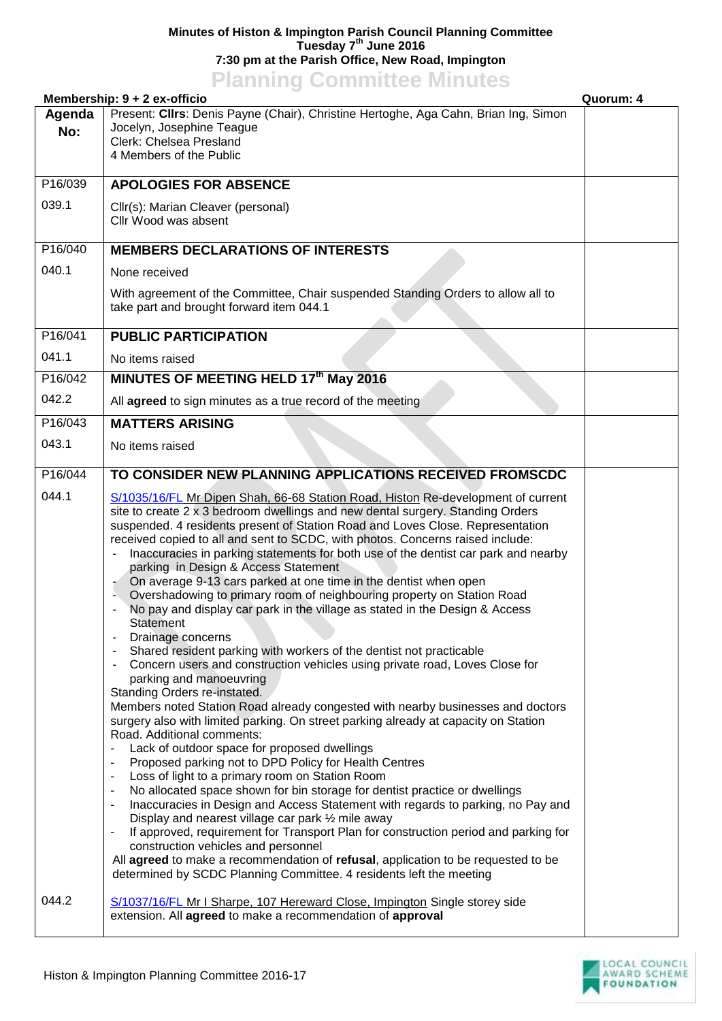## **Minutes of Histon & Impington Parish Council Planning Committee Tuesday 7 th June 2016 7:30 pm at the Parish Office, New Road, Impington**

## **Planning Committee Minutes**

| Membership: 9 + 2 ex-officio<br>Quorum: 4 |                                                                                                                                                                                                                                                                                                                                                                                                                                                                                                                                                                                                                                                                                                                                                                                                                                                                                                                                                                                                                                                                                                                                                                                                                                                                                                                                                                                                                                                                                                                                                                                                                                                                                                                                                                                                                                                                                        |  |
|-------------------------------------------|----------------------------------------------------------------------------------------------------------------------------------------------------------------------------------------------------------------------------------------------------------------------------------------------------------------------------------------------------------------------------------------------------------------------------------------------------------------------------------------------------------------------------------------------------------------------------------------------------------------------------------------------------------------------------------------------------------------------------------------------------------------------------------------------------------------------------------------------------------------------------------------------------------------------------------------------------------------------------------------------------------------------------------------------------------------------------------------------------------------------------------------------------------------------------------------------------------------------------------------------------------------------------------------------------------------------------------------------------------------------------------------------------------------------------------------------------------------------------------------------------------------------------------------------------------------------------------------------------------------------------------------------------------------------------------------------------------------------------------------------------------------------------------------------------------------------------------------------------------------------------------------|--|
| Agenda<br>No:                             | Present: Cllrs: Denis Payne (Chair), Christine Hertoghe, Aga Cahn, Brian Ing, Simon<br>Jocelyn, Josephine Teague<br>Clerk: Chelsea Presland<br>4 Members of the Public                                                                                                                                                                                                                                                                                                                                                                                                                                                                                                                                                                                                                                                                                                                                                                                                                                                                                                                                                                                                                                                                                                                                                                                                                                                                                                                                                                                                                                                                                                                                                                                                                                                                                                                 |  |
| P16/039                                   | <b>APOLOGIES FOR ABSENCE</b>                                                                                                                                                                                                                                                                                                                                                                                                                                                                                                                                                                                                                                                                                                                                                                                                                                                                                                                                                                                                                                                                                                                                                                                                                                                                                                                                                                                                                                                                                                                                                                                                                                                                                                                                                                                                                                                           |  |
| 039.1                                     | Cllr(s): Marian Cleaver (personal)<br>Cllr Wood was absent                                                                                                                                                                                                                                                                                                                                                                                                                                                                                                                                                                                                                                                                                                                                                                                                                                                                                                                                                                                                                                                                                                                                                                                                                                                                                                                                                                                                                                                                                                                                                                                                                                                                                                                                                                                                                             |  |
| P16/040                                   | <b>MEMBERS DECLARATIONS OF INTERESTS</b>                                                                                                                                                                                                                                                                                                                                                                                                                                                                                                                                                                                                                                                                                                                                                                                                                                                                                                                                                                                                                                                                                                                                                                                                                                                                                                                                                                                                                                                                                                                                                                                                                                                                                                                                                                                                                                               |  |
| 040.1                                     | None received                                                                                                                                                                                                                                                                                                                                                                                                                                                                                                                                                                                                                                                                                                                                                                                                                                                                                                                                                                                                                                                                                                                                                                                                                                                                                                                                                                                                                                                                                                                                                                                                                                                                                                                                                                                                                                                                          |  |
|                                           | With agreement of the Committee, Chair suspended Standing Orders to allow all to<br>take part and brought forward item 044.1                                                                                                                                                                                                                                                                                                                                                                                                                                                                                                                                                                                                                                                                                                                                                                                                                                                                                                                                                                                                                                                                                                                                                                                                                                                                                                                                                                                                                                                                                                                                                                                                                                                                                                                                                           |  |
| P16/041                                   | <b>PUBLIC PARTICIPATION</b>                                                                                                                                                                                                                                                                                                                                                                                                                                                                                                                                                                                                                                                                                                                                                                                                                                                                                                                                                                                                                                                                                                                                                                                                                                                                                                                                                                                                                                                                                                                                                                                                                                                                                                                                                                                                                                                            |  |
| 041.1                                     | No items raised                                                                                                                                                                                                                                                                                                                                                                                                                                                                                                                                                                                                                                                                                                                                                                                                                                                                                                                                                                                                                                                                                                                                                                                                                                                                                                                                                                                                                                                                                                                                                                                                                                                                                                                                                                                                                                                                        |  |
| P16/042                                   | MINUTES OF MEETING HELD 17th May 2016                                                                                                                                                                                                                                                                                                                                                                                                                                                                                                                                                                                                                                                                                                                                                                                                                                                                                                                                                                                                                                                                                                                                                                                                                                                                                                                                                                                                                                                                                                                                                                                                                                                                                                                                                                                                                                                  |  |
| 042.2                                     | All agreed to sign minutes as a true record of the meeting                                                                                                                                                                                                                                                                                                                                                                                                                                                                                                                                                                                                                                                                                                                                                                                                                                                                                                                                                                                                                                                                                                                                                                                                                                                                                                                                                                                                                                                                                                                                                                                                                                                                                                                                                                                                                             |  |
| P16/043                                   | <b>MATTERS ARISING</b>                                                                                                                                                                                                                                                                                                                                                                                                                                                                                                                                                                                                                                                                                                                                                                                                                                                                                                                                                                                                                                                                                                                                                                                                                                                                                                                                                                                                                                                                                                                                                                                                                                                                                                                                                                                                                                                                 |  |
| 043.1                                     | No items raised                                                                                                                                                                                                                                                                                                                                                                                                                                                                                                                                                                                                                                                                                                                                                                                                                                                                                                                                                                                                                                                                                                                                                                                                                                                                                                                                                                                                                                                                                                                                                                                                                                                                                                                                                                                                                                                                        |  |
| P16/044                                   | TO CONSIDER NEW PLANNING APPLICATIONS RECEIVED FROMSCDC                                                                                                                                                                                                                                                                                                                                                                                                                                                                                                                                                                                                                                                                                                                                                                                                                                                                                                                                                                                                                                                                                                                                                                                                                                                                                                                                                                                                                                                                                                                                                                                                                                                                                                                                                                                                                                |  |
| 044.1                                     | S/1035/16/FL Mr Dipen Shah, 66-68 Station Road, Histon Re-development of current<br>site to create 2 x 3 bedroom dwellings and new dental surgery. Standing Orders<br>suspended. 4 residents present of Station Road and Loves Close. Representation<br>received copied to all and sent to SCDC, with photos. Concerns raised include:<br>Inaccuracies in parking statements for both use of the dentist car park and nearby<br>parking in Design & Access Statement<br>On average 9-13 cars parked at one time in the dentist when open<br>Overshadowing to primary room of neighbouring property on Station Road<br>No pay and display car park in the village as stated in the Design & Access<br><b>Statement</b><br>Drainage concerns<br>Shared resident parking with workers of the dentist not practicable<br>Concern users and construction vehicles using private road, Loves Close for<br>parking and manoeuvring<br>Standing Orders re-instated.<br>Members noted Station Road already congested with nearby businesses and doctors<br>surgery also with limited parking. On street parking already at capacity on Station<br>Road. Additional comments:<br>Lack of outdoor space for proposed dwellings<br>Proposed parking not to DPD Policy for Health Centres<br>٠<br>Loss of light to a primary room on Station Room<br>$\overline{\phantom{a}}$<br>No allocated space shown for bin storage for dentist practice or dwellings<br>Inaccuracies in Design and Access Statement with regards to parking, no Pay and<br>Display and nearest village car park 1/2 mile away<br>If approved, requirement for Transport Plan for construction period and parking for<br>٠<br>construction vehicles and personnel<br>All agreed to make a recommendation of refusal, application to be requested to be<br>determined by SCDC Planning Committee. 4 residents left the meeting |  |
| 044.2                                     | S/1037/16/FL Mr I Sharpe, 107 Hereward Close, Impington Single storey side<br>extension. All agreed to make a recommendation of approval                                                                                                                                                                                                                                                                                                                                                                                                                                                                                                                                                                                                                                                                                                                                                                                                                                                                                                                                                                                                                                                                                                                                                                                                                                                                                                                                                                                                                                                                                                                                                                                                                                                                                                                                               |  |

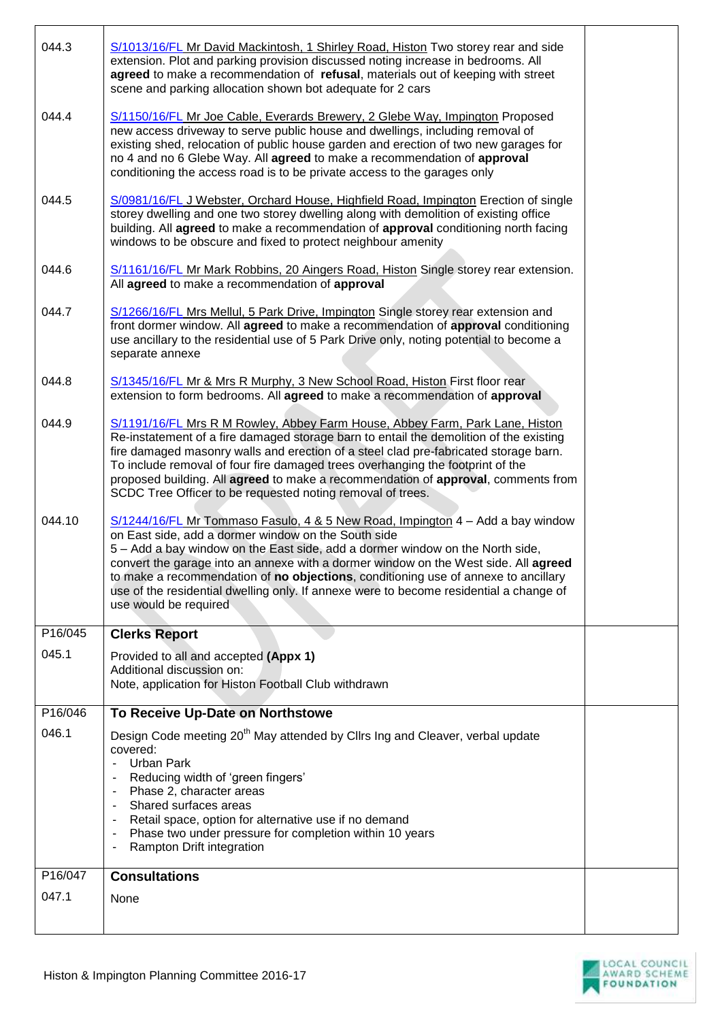| 044.3   | S/1013/16/FL Mr David Mackintosh, 1 Shirley Road, Histon Two storey rear and side<br>extension. Plot and parking provision discussed noting increase in bedrooms. All<br>agreed to make a recommendation of refusal, materials out of keeping with street<br>scene and parking allocation shown bot adequate for 2 cars                                                                                                                                                                                                |  |
|---------|------------------------------------------------------------------------------------------------------------------------------------------------------------------------------------------------------------------------------------------------------------------------------------------------------------------------------------------------------------------------------------------------------------------------------------------------------------------------------------------------------------------------|--|
| 044.4   | S/1150/16/FL Mr Joe Cable, Everards Brewery, 2 Glebe Way, Impington Proposed<br>new access driveway to serve public house and dwellings, including removal of<br>existing shed, relocation of public house garden and erection of two new garages for<br>no 4 and no 6 Glebe Way. All agreed to make a recommendation of approval<br>conditioning the access road is to be private access to the garages only                                                                                                          |  |
| 044.5   | S/0981/16/FL J Webster, Orchard House, Highfield Road, Impington Erection of single<br>storey dwelling and one two storey dwelling along with demolition of existing office<br>building. All agreed to make a recommendation of approval conditioning north facing<br>windows to be obscure and fixed to protect neighbour amenity                                                                                                                                                                                     |  |
| 044.6   | S/1161/16/FL Mr Mark Robbins, 20 Aingers Road, Histon Single storey rear extension.<br>All agreed to make a recommendation of approval                                                                                                                                                                                                                                                                                                                                                                                 |  |
| 044.7   | S/1266/16/FL Mrs Mellul, 5 Park Drive, Impington Single storey rear extension and<br>front dormer window. All agreed to make a recommendation of approval conditioning<br>use ancillary to the residential use of 5 Park Drive only, noting potential to become a<br>separate annexe                                                                                                                                                                                                                                   |  |
| 044.8   | S/1345/16/FL Mr & Mrs R Murphy, 3 New School Road, Histon First floor rear<br>extension to form bedrooms. All agreed to make a recommendation of approval                                                                                                                                                                                                                                                                                                                                                              |  |
| 044.9   | S/1191/16/FL Mrs R M Rowley, Abbey Farm House, Abbey Farm, Park Lane, Histon<br>Re-instatement of a fire damaged storage barn to entail the demolition of the existing<br>fire damaged masonry walls and erection of a steel clad pre-fabricated storage barn.<br>To include removal of four fire damaged trees overhanging the footprint of the<br>proposed building. All agreed to make a recommendation of approval, comments from<br>SCDC Tree Officer to be requested noting removal of trees.                    |  |
| 044.10  | S/1244/16/FL Mr Tommaso Fasulo, 4 & 5 New Road, Impington 4 - Add a bay window<br>on East side, add a dormer window on the South side<br>5 - Add a bay window on the East side, add a dormer window on the North side,<br>convert the garage into an annexe with a dormer window on the West side. All agreed<br>to make a recommendation of no objections, conditioning use of annexe to ancillary<br>use of the residential dwelling only. If annexe were to become residential a change of<br>use would be required |  |
| P16/045 | <b>Clerks Report</b>                                                                                                                                                                                                                                                                                                                                                                                                                                                                                                   |  |
| 045.1   | Provided to all and accepted (Appx 1)<br>Additional discussion on:<br>Note, application for Histon Football Club withdrawn                                                                                                                                                                                                                                                                                                                                                                                             |  |
| P16/046 | To Receive Up-Date on Northstowe                                                                                                                                                                                                                                                                                                                                                                                                                                                                                       |  |
| 046.1   | Design Code meeting 20 <sup>th</sup> May attended by Cllrs Ing and Cleaver, verbal update<br>covered:<br>Urban Park<br>Reducing width of 'green fingers'<br>Phase 2, character areas<br>Shared surfaces areas<br>Retail space, option for alternative use if no demand<br>Phase two under pressure for completion within 10 years<br>$\blacksquare$<br>Rampton Drift integration                                                                                                                                       |  |
| P16/047 | <b>Consultations</b>                                                                                                                                                                                                                                                                                                                                                                                                                                                                                                   |  |
| 047.1   | None                                                                                                                                                                                                                                                                                                                                                                                                                                                                                                                   |  |